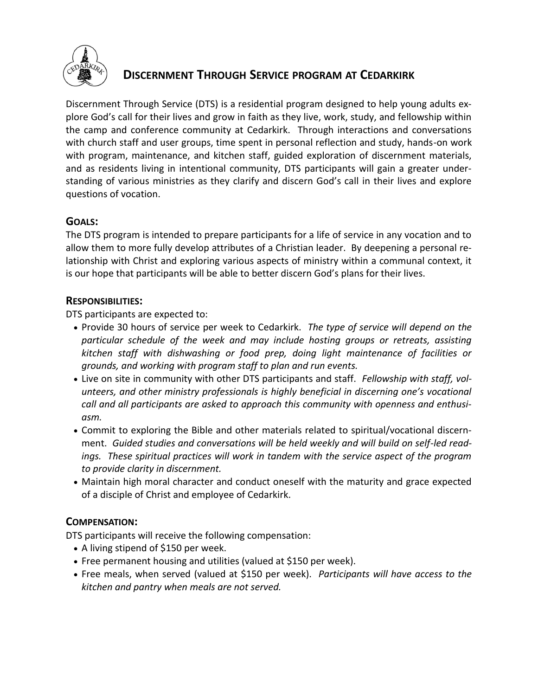

# **DISCERNMENT THROUGH SERVICE PROGRAM AT CEDARKIRK**

Discernment Through Service (DTS) is a residential program designed to help young adults explore God's call for their lives and grow in faith as they live, work, study, and fellowship within the camp and conference community at Cedarkirk. Through interactions and conversations with church staff and user groups, time spent in personal reflection and study, hands-on work with program, maintenance, and kitchen staff, guided exploration of discernment materials, and as residents living in intentional community, DTS participants will gain a greater understanding of various ministries as they clarify and discern God's call in their lives and explore questions of vocation.

# **GOALS:**

The DTS program is intended to prepare participants for a life of service in any vocation and to allow them to more fully develop attributes of a Christian leader. By deepening a personal relationship with Christ and exploring various aspects of ministry within a communal context, it is our hope that participants will be able to better discern God's plans for their lives.

# **RESPONSIBILITIES:**

DTS participants are expected to:

- Provide 30 hours of service per week to Cedarkirk. *The type of service will depend on the particular schedule of the week and may include hosting groups or retreats, assisting kitchen staff with dishwashing or food prep, doing light maintenance of facilities or grounds, and working with program staff to plan and run events.*
- Live on site in community with other DTS participants and staff. *Fellowship with staff, volunteers, and other ministry professionals is highly beneficial in discerning one's vocational call and all participants are asked to approach this community with openness and enthusiasm.*
- Commit to exploring the Bible and other materials related to spiritual/vocational discernment. *Guided studies and conversations will be held weekly and will build on self-led readings. These spiritual practices will work in tandem with the service aspect of the program to provide clarity in discernment.*
- Maintain high moral character and conduct oneself with the maturity and grace expected of a disciple of Christ and employee of Cedarkirk.

# **COMPENSATION:**

DTS participants will receive the following compensation:

- A living stipend of \$150 per week.
- Free permanent housing and utilities (valued at \$150 per week).
- Free meals, when served (valued at \$150 per week). *Participants will have access to the kitchen and pantry when meals are not served.*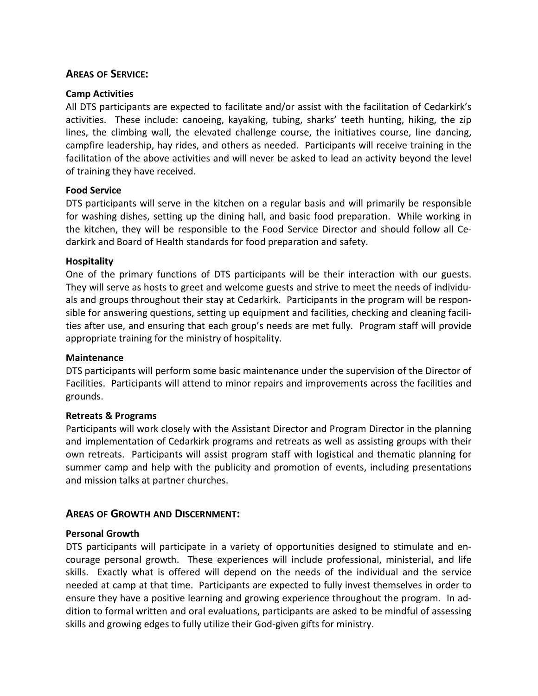# **AREAS OF SERVICE:**

#### **Camp Activities**

All DTS participants are expected to facilitate and/or assist with the facilitation of Cedarkirk's activities. These include: canoeing, kayaking, tubing, sharks' teeth hunting, hiking, the zip lines, the climbing wall, the elevated challenge course, the initiatives course, line dancing, campfire leadership, hay rides, and others as needed. Participants will receive training in the facilitation of the above activities and will never be asked to lead an activity beyond the level of training they have received.

#### **Food Service**

DTS participants will serve in the kitchen on a regular basis and will primarily be responsible for washing dishes, setting up the dining hall, and basic food preparation. While working in the kitchen, they will be responsible to the Food Service Director and should follow all Cedarkirk and Board of Health standards for food preparation and safety.

#### **Hospitality**

One of the primary functions of DTS participants will be their interaction with our guests. They will serve as hosts to greet and welcome guests and strive to meet the needs of individuals and groups throughout their stay at Cedarkirk. Participants in the program will be responsible for answering questions, setting up equipment and facilities, checking and cleaning facilities after use, and ensuring that each group's needs are met fully. Program staff will provide appropriate training for the ministry of hospitality.

#### **Maintenance**

DTS participants will perform some basic maintenance under the supervision of the Director of Facilities. Participants will attend to minor repairs and improvements across the facilities and grounds.

#### **Retreats & Programs**

Participants will work closely with the Assistant Director and Program Director in the planning and implementation of Cedarkirk programs and retreats as well as assisting groups with their own retreats. Participants will assist program staff with logistical and thematic planning for summer camp and help with the publicity and promotion of events, including presentations and mission talks at partner churches.

# **AREAS OF GROWTH AND DISCERNMENT:**

#### **Personal Growth**

DTS participants will participate in a variety of opportunities designed to stimulate and encourage personal growth. These experiences will include professional, ministerial, and life skills. Exactly what is offered will depend on the needs of the individual and the service needed at camp at that time. Participants are expected to fully invest themselves in order to ensure they have a positive learning and growing experience throughout the program. In addition to formal written and oral evaluations, participants are asked to be mindful of assessing skills and growing edges to fully utilize their God-given gifts for ministry.